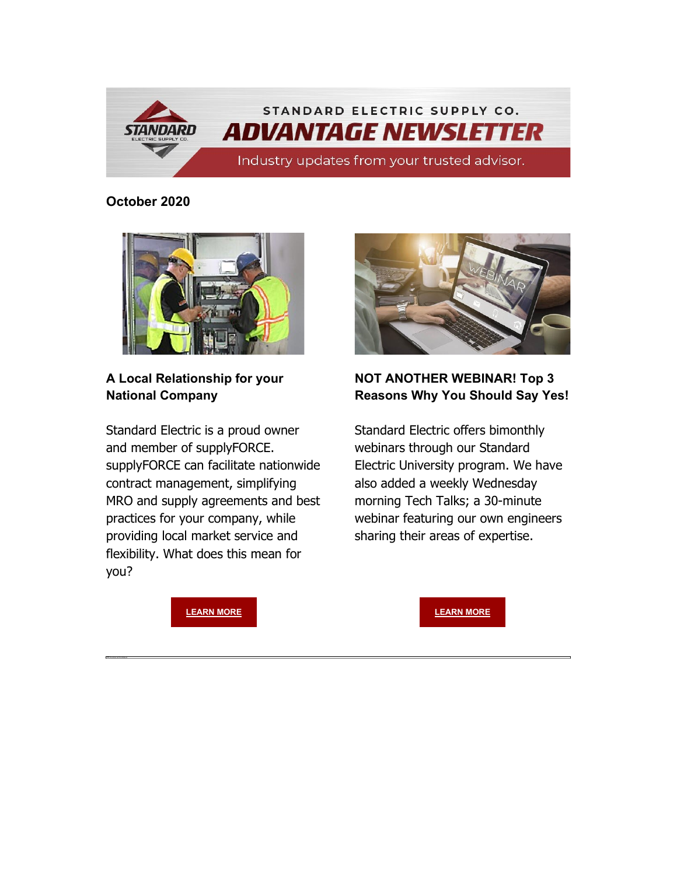

#### **October 2020**



**A Local Relationship for your National Company**

Standard Electric is a proud owner and member of supplyFORCE. supplyFORCE can facilitate nationwide contract management, simplifying MRO and supply agreements and best practices for your company, while providing local market service and flexibility. What does this mean for you?



#### **NOT ANOTHER WEBINAR! Top 3 Reasons Why You Should Say Yes!**

Standard Electric offers bimonthly webinars through our Standard Electric University program. We have also added a weekly Wednesday morning Tech Talks; a 30-minute webinar featuring our own engineers sharing their areas of expertise.

**[LEARN MORE](https://info.standardelectricsupply.com/e2t/tc/VW0byl36WkdqW7cY_Rv19ZdkDW3_3yVc4hF7qDN91mn7w5mJK9V3Zsc37CgYZ_W22D2Q34NNS6qW6tvGfS24XvJ4V8r7yx4wfJDRW4wwXBg2JkQV1W1HlKy54jfr-3W7Gmc89388sv9N3vgfPntTKzqW6Vpq7Z6ZQ57dW7SqWPs47_mQnW5m6BX86k-tBKV5wVkR1tXsS3W8SwPLN5xBLTfW5LDBj78Mltz3W2rKlgZ5MY4MWW6SyDG62cqKBJW48KZSc43krlSW4hzGV57ZqK3hW3Th0T51s24TsVzg5tl1Rr-Z7W65Y54b779jvgW61QxZY4plgzkN3L6NG7bNlddW6rPsmY4jdHVGW373NlD3Mht_bVjhQkR8fQjlqW8YflH75c0WTYW8wGRWs9dqdLVW3zWpcz8k8w2vW92p6dZ4L-wLZW3MbQjB4wZDp0W5B9hxD5QwYNdW3jnlj47LqTlCN3Sm5TgtP0T_W6dY0l18TYkZs3lGy1)** 

**[LEARN MORE](https://info.standardelectricsupply.com/e2t/tc/VW0byl36WkdqW7cY_Rv19ZdkDW3_3yVc4hF7qDN91mn855mJKNV3Zsc37CgMvCW3-jXMK5tBPWwW517zzt54YbSrW86-HnM5jFXbtW1Gd8M94pdXn6W6q26mn5fxF-gW59ZH-26PSSDjVtysw26dKQLpW1sT0Mn8rr-HQW1TBG_k7Z5PzCW6Hv8t_1_sh_CW6pbfXP2VkV92W3cPS_Y4_2yJdW3Zmd6D3YZtvSW2Kzjmv5RrC8hW6s365p1R4FT-VZx-l95-1Hj-W79jN6t5fm11bW1NmR5-2mH_b-W4kFjvP7gJFHJW5Cw1QP1FSLqQN54FmY4XsJDfW5LKWSp8BSctDW2phS6r297KPgW5r33nl1qhD-VW47sH4_1J1vFBW548Rck2mmC-BV6-QBs60dnpQW8ZJM9f52fm58W97N-HM73_fwNVSmtgK93YWKxW43dDln7Bnh34W6MPsgV3brSGvW8vVcr36jKjnGVJGH5n6YKJpzW1gNghf6HRd2wW735znG45R2XYW8FZPn529x3DWW5fZFw15Nq1Ps32BK1)**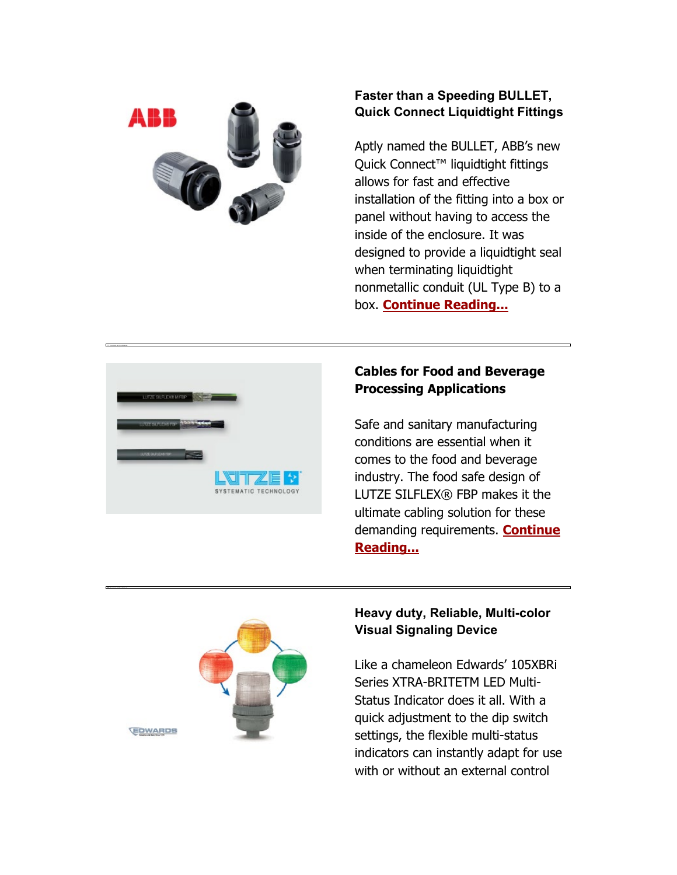

### **Faster than a Speeding BULLET, Quick Connect Liquidtight Fittings**

Aptly named the BULLET, ABB's new Quick Connect<sup>™</sup> liquidtight fittings allows for fast and effective installation of the fitting into a box or panel without having to access the inside of the enclosure. It was designed to provide a liquidtight seal when terminating liquidtight nonmetallic conduit (UL Type B) to a box. **[Continue Reading...](https://info.standardelectricsupply.com/e2t/tc/VW0byl36WkdqW7cY_Rv19ZdkDW3_3yVc4hF7qDN91mn7w5nxGrV3Zsc37CgC67W2-w-Ms717JvCW89mxXZ2qM0s2W5VV5dN60s17BW8wjlDr41lHkjVG4nzj548SlfW2Z2ddR4F3m2zW29GL0G394sBXW4_L5nJ6r_TZrW5slsjy8QdJqfW7RL0VK3SWntvW48Glbs93fQRlW7LqVdn92ZBB4VBC8Fb3L3ydFW3ksbZ26fW-KRW7TkR-m32DDzxW8yZ95L63t06mW6TtX3G9b8Cj-W940W1N3QWfxdVBzBzp3dBz46W2QW1_l3qN2twW56s9315_4ydqW5_B5wM5p6FqhW7PrJWt5m82p4W554pGD1xrbLqW2lsvXd7cyPddW5_v9Hv1G3xJzW7LSmsm5-lc32W3HYtd95PyB_tW95Yh4z41CYp-W8t-43S7hGkcHV1YvTf6-_Mm_W56xwQH5klKhNW2zmPDl793D34W5KVhrH2HfrX93pXB1)**



## **Cables for Food and Beverage Processing Applications**

Safe and sanitary manufacturing conditions are essential when it comes to the food and beverage industry. The food safe design of LUTZE SILFLEX® FBP makes it the ultimate cabling solution for these demanding requirements. **[Continue](https://info.standardelectricsupply.com/e2t/tc/VW0byl36WkdqW7cY_Rv19ZdkDW3_3yVc4hF7qDN91mn855nxH1V3Zsc37CgHB1W639_308mxLxXW7ZPjLM4fndP6N9cV_jP--k9zW5sx3zH6n2nVgVl8TYb2jyCT4N3SrKYfRjP88W50b01l59j-KTVqTCxy7FZyw7W1dvBXH2bMXF2VMdCMc7wxpb9W7Cw_1T7BMTQqW1Cl4F86MQslqW7DZmdX84flHyW7djqdn1Hvfj-W53x68k4xqhd5Vyp2FF17B9fsW584NLQ4L2g_kW3TSll65pRsKCW8n76b92ZNfzJW6d0Gr48cgYRsW3sW5b38rDRPGW241kQs1hlpDBW4NpHcX1h9ryzW34kVXQ52BtgMW860LJ64W59hJW7GylVC8Kk1qDN67Qh4rjf5MzW53FGQ45xnG4rW1tm4LH68cRZRN1xdGJmPKY67W3cfrYm6tgJTMW1QBHYw6tQyLHW24QvQN2fDZ0CW5VWhdm6XJmBSW1zzjMq3KHC6MN1QXKXrjVCHHW544WlS6S-b8cW7RT_bv30NLgJ36d61)  [Reading...](https://info.standardelectricsupply.com/e2t/tc/VW0byl36WkdqW7cY_Rv19ZdkDW3_3yVc4hF7qDN91mn855nxH1V3Zsc37CgHB1W639_308mxLxXW7ZPjLM4fndP6N9cV_jP--k9zW5sx3zH6n2nVgVl8TYb2jyCT4N3SrKYfRjP88W50b01l59j-KTVqTCxy7FZyw7W1dvBXH2bMXF2VMdCMc7wxpb9W7Cw_1T7BMTQqW1Cl4F86MQslqW7DZmdX84flHyW7djqdn1Hvfj-W53x68k4xqhd5Vyp2FF17B9fsW584NLQ4L2g_kW3TSll65pRsKCW8n76b92ZNfzJW6d0Gr48cgYRsW3sW5b38rDRPGW241kQs1hlpDBW4NpHcX1h9ryzW34kVXQ52BtgMW860LJ64W59hJW7GylVC8Kk1qDN67Qh4rjf5MzW53FGQ45xnG4rW1tm4LH68cRZRN1xdGJmPKY67W3cfrYm6tgJTMW1QBHYw6tQyLHW24QvQN2fDZ0CW5VWhdm6XJmBSW1zzjMq3KHC6MN1QXKXrjVCHHW544WlS6S-b8cW7RT_bv30NLgJ36d61)**



#### **Heavy duty, Reliable, Multi -color Visual Signaling Device**

Like a chameleon Edwards' 105XBRi Series XTRA -BRITETM LED Multi - Status Indicator does it all. With a quick adjustment to the dip switch settings, the flexible multi -status indicators can instantly adapt for use with or without an external control